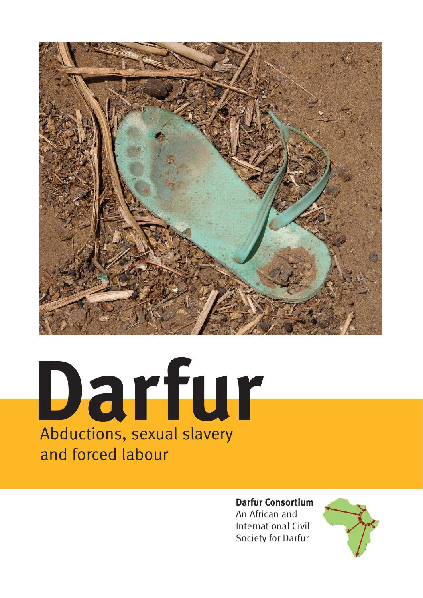

# **Darfur** Abductions, sexual slavery and forced labour

### **Darfur Consortium**

An African and International Civil Society for Darfur

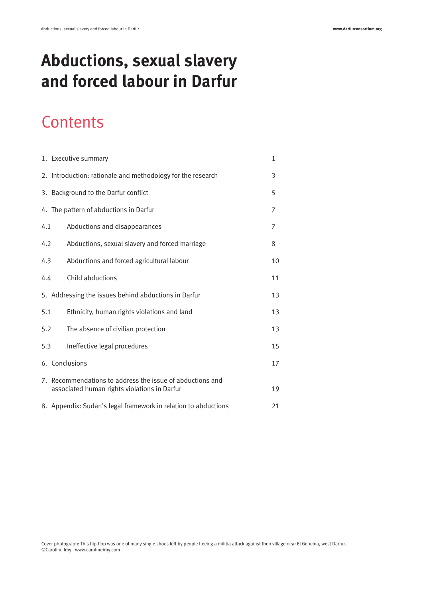# **Abductions, sexual slavery and forced labour in Darfur**

# **Contents**

|                                                      | 1. Executive summary                                                                                      | 1  |
|------------------------------------------------------|-----------------------------------------------------------------------------------------------------------|----|
|                                                      | 2. Introduction: rationale and methodology for the research                                               | 3  |
|                                                      | 3. Background to the Darfur conflict                                                                      | 5  |
|                                                      | 4. The pattern of abductions in Darfur                                                                    | 7  |
| 4.1                                                  | Abductions and disappearances                                                                             | 7  |
| 4.2                                                  | Abductions, sexual slavery and forced marriage                                                            | 8  |
| 4.3                                                  | Abductions and forced agricultural labour                                                                 | 10 |
| 4.4                                                  | Child abductions                                                                                          | 11 |
| 5. Addressing the issues behind abductions in Darfur |                                                                                                           | 13 |
| 5.1                                                  | Ethnicity, human rights violations and land                                                               | 13 |
| 5.2                                                  | The absence of civilian protection                                                                        | 13 |
| 5.3                                                  | Ineffective legal procedures                                                                              | 15 |
|                                                      | 6. Conclusions                                                                                            | 17 |
|                                                      | 7. Recommendations to address the issue of abductions and<br>associated human rights violations in Darfur | 19 |
|                                                      | 8. Appendix: Sudan's legal framework in relation to abductions                                            | 21 |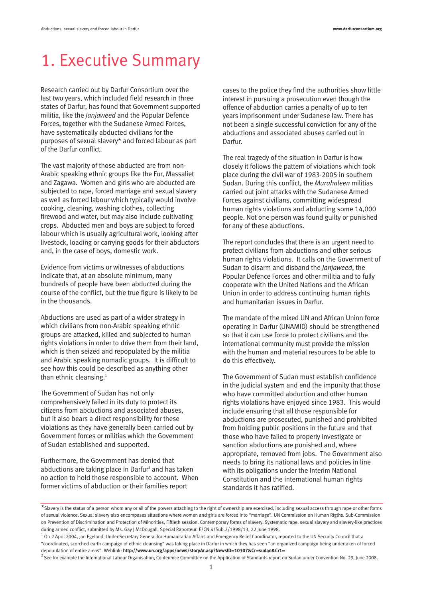# 1. Executive Summary

Research carried out by Darfur Consortium over the last two years, which included field research in three states of Darfur, has found that Government supported militia, like the *Janjaweed* and the Popular Defence Forces, together with the Sudanese Armed Forces, have systematically abducted civilians for the purposes of sexual slavery\* and forced labour as part of the Darfur conflict.

The vast majority of those abducted are from non-Arabic speaking ethnic groups like the Fur, Massaliet and Zagawa. Women and girls who are abducted are subjected to rape, forced marriage and sexual slavery as well as forced labour which typically would involve cooking, cleaning, washing clothes, collecting firewood and water, but may also include cultivating crops. Abducted men and boys are subject to forced labour which is usually agricultural work, looking after livestock, loading or carrying goods for their abductors and, in the case of boys, domestic work.

Evidence from victims or witnesses of abductions indicate that, at an absolute minimum, many hundreds of people have been abducted during the course of the conflict, but the true figure is likely to be in the thousands.

Abductions are used as part of a wider strategy in which civilians from non-Arabic speaking ethnic groups are attacked, killed and subjected to human rights violations in order to drive them from their land, which is then seized and repopulated by the militia and Arabic speaking nomadic groups. It is difficult to see how this could be described as anything other than ethnic cleansing.<sup>1</sup>

The Government of Sudan has not only comprehensively failed in its duty to protect its citizens from abductions and associated abuses, but it also bears a direct responsibility for these violations as they have generally been carried out by Government forces or militias which the Government of Sudan established and supported.

Furthermore, the Government has denied that abductions are taking place in Darfur<sup>2</sup> and has taken no action to hold those responsible to account. When former victims of abduction or their families report

cases to the police they find the authorities show little interest in pursuing a prosecution even though the offence of abduction carries a penalty of up to ten years imprisonment under Sudanese law. There has not been a single successful conviction for any of the abductions and associated abuses carried out in Darfur.

The real tragedy of the situation in Darfur is how closely it follows the pattern of violations which took place during the civil war of 1983-2005 in southern Sudan. During this conflict, the *Murahaleen* militias carried out joint attacks with the Sudanese Armed Forces against civilians, committing widespread human rights violations and abducting some 14,000 people. Not one person was found guilty or punished for any of these abductions.

The report concludes that there is an urgent need to protect civilians from abductions and other serious human rights violations. It calls on the Government of Sudan to disarm and disband the *Janjaweed*, the Popular Defence Forces and other militia and to fully cooperate with the United Nations and the African Union in order to address continuing human rights and humanitarian issues in Darfur.

The mandate of the mixed UN and African Union force operating in Darfur (UNAMID) should be strengthened so that it can use force to protect civilians and the international community must provide the mission with the human and material resources to be able to do this effectively.

The Government of Sudan must establish confidence in the judicial system and end the impunity that those who have committed abduction and other human rights violations have enjoyed since 1983. This would include ensuring that all those responsible for abductions are prosecuted, punished and prohibited from holding public positions in the future and that those who have failed to properly investigate or sanction abductions are punished and, where appropriate, removed from jobs. The Government also needs to bring its national laws and policies in line with its obligations under the Interim National Constitution and the international human rights standards it has ratified.

<sup>\*</sup>Slavery is the status of a person whom any or all of the powers attaching to the right of ownership are exercised, including sexual access through rape or other forms of sexual violence. Sexual slavery also encompases situations where women and girls are forced into "marriage". UN Commission on Human Rigths. Sub-Commission on Prevention of Discrimination and Protection of Minorities, Fiftieth session. Contemporary forms of slavery. Systematic rape, sexual slavery and slavery-like practices during armed conflict, submitted by Ms. Gay J.McDougall, Special Raporteur. E/CN.4/Sub.2/1998/13, 22 June 1998.

 $1$  On 2 April 2004, Jan Egeland, Under-Secretary General for Humanitarian Affairs and Emergency Relief Coordinator, reported to the UN Security Council that a "coordinated, scorched-earth campaign of ethnic cleansing" was taking place in Darfur in which they has seen "an organized campaign being undertaken of forced depopulation of entire areas". Weblink: **http://www.un.org/apps/news/storyAr.asp?NewsID=10307&Cr=sudan&Cr1=**

<sup>2</sup> See for example the International Labour Organisation, Conference Committee on the Application of Standards report on Sudan under Convention No. 29, June 2008.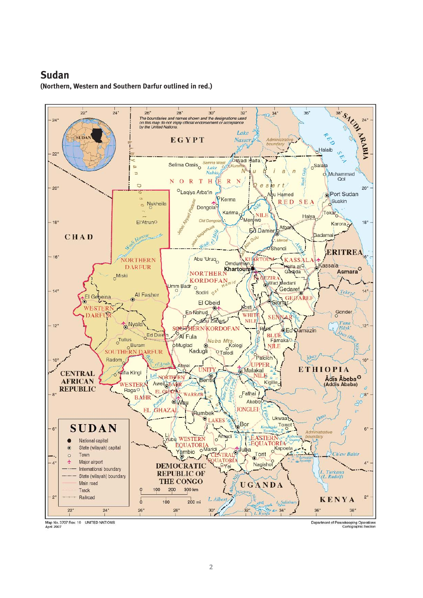### **Sudan**

**(Northern, Western and Southern Darfur outlined in red.)**



Department of Peacekeeping Operations<br>Cartographic Section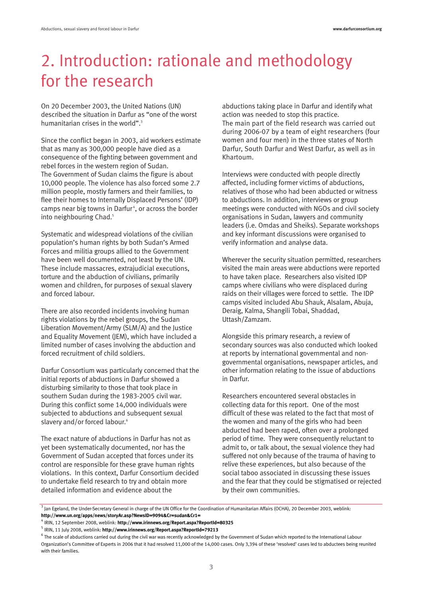# 2. Introduction: rationale and methodology for the research

On 20 December 2003, the United Nations (UN) described the situation in Darfur as "one of the worst humanitarian crises in the world".<sup>3</sup>

Since the conflict began in 2003, aid workers estimate that as many as 300,000 people have died as a consequence of the fighting between government and rebel forces in the western region of Sudan. The Government of Sudan claims the figure is about 10,000 people. The violence has also forced some 2.7 million people, mostly farmers and their families, to flee their homes to Internally Displaced Persons' (IDP) camps near big towns in Darfur<sup>4</sup>, or across the border into neighbouring Chad.<sup>5</sup>

Systematic and widespread violations of the civilian population's human rights by both Sudan's Armed Forces and militia groups allied to the Government have been well documented, not least by the UN. These include massacres, extrajudicial executions, torture and the abduction of civilians, primarily women and children, for purposes of sexual slavery and forced labour.

There are also recorded incidents involving human rights violations by the rebel groups, the Sudan Liberation Movement/Army (SLM/A) and the Justice and Equality Movement (JEM), which have included a limited number of cases involving the abduction and forced recruitment of child soldiers.

Darfur Consortium was particularly concerned that the initial reports of abductions in Darfur showed a disturbing similarity to those that took place in southern Sudan during the 1983-2005 civil war. During this conflict some 14,000 individuals were subjected to abductions and subsequent sexual slavery and/or forced labour.<sup>6</sup>

The exact nature of abductions in Darfur has not as yet been systematically documented, nor has the Government of Sudan accepted that forces under its control are responsible for these grave human rights violations. In this context, Darfur Consortium decided to undertake field research to try and obtain more detailed information and evidence about the

abductions taking place in Darfur and identify what action was needed to stop this practice. The main part of the field research was carried out during 2006-07 by a team of eight researchers (four women and four men) in the three states of North Darfur, South Darfur and West Darfur, as well as in Khartoum.

Interviews were conducted with people directly affected, including former victims of abductions, relatives of those who had been abducted or witness to abductions. In addition, interviews or group meetings were conducted with NGOs and civil society organisations in Sudan, lawyers and community leaders (i.e. Omdas and Sheiks). Separate workshops and key informant discussions were organised to verify information and analyse data.

Wherever the security situation permitted, researchers visited the main areas were abductions were reported to have taken place. Researchers also visited IDP camps where civilians who were displaced during raids on their villages were forced to settle. The IDP camps visited included Abu Shauk, Alsalam, Abuja, Deraig, Kalma, Shangili Tobai, Shaddad, Uttash/Zamzam.

Alongside this primary research, a review of secondary sources was also conducted which looked at reports by international governmental and nongovernmental organisations, newspaper articles, and other information relating to the issue of abductions in Darfur.

Researchers encountered several obstacles in collecting data for this report. One of the most difficult of these was related to the fact that most of the women and many of the girls who had been abducted had been raped, often over a prolonged period of time. They were consequently reluctant to admit to, or talk about, the sexual violence they had suffered not only because of the trauma of having to relive these experiences, but also because of the social taboo associated in discussing these issues and the fear that they could be stigmatised or rejected by their own communities.

 $3$  Jan Egeland, the Under-Secretary General in charge of the UN Office for the Coordination of Humanitarian Affairs (OCHA), 20 December 2003, weblink: **http://www.un.org/apps/news/storyAr.asp?NewsID=9094&Cr=sudan&Cr1=**

<sup>4</sup> IRIN, 12 September 2008, weblink: **http://www.irinnews.org/Report.aspx?ReportId=80325** 

<sup>5</sup> IRIN, 11 July 2008, weblink: **http://www.irinnews.org/Report.aspx?ReportId=79213**

 $^6$  The scale of abductions carried out during the civil war was recently acknowledged by the Government of Sudan which reported to the International Labour Organization's Committee of Experts in 2006 that it had resolved 11,000 of the 14,000 cases. Only 3,394 of these 'resolved' cases led to abductees being reunited with their families.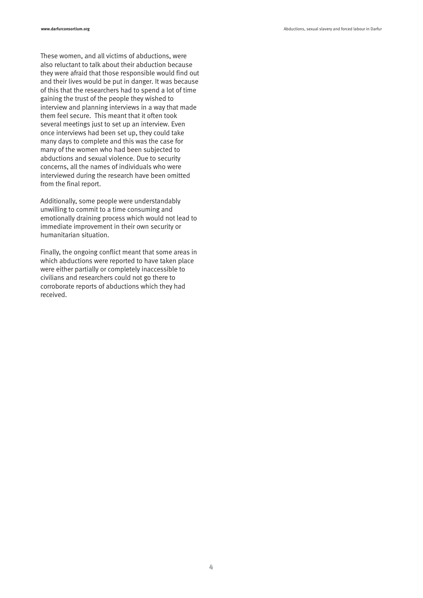These women, and all victims of abductions, were also reluctant to talk about their abduction because they were afraid that those responsible would find out and their lives would be put in danger. It was because of this that the researchers had to spend a lot of time gaining the trust of the people they wished to interview and planning interviews in a way that made them feel secure. This meant that it often took several meetings just to set up an interview. Even once interviews had been set up, they could take many days to complete and this was the case for many of the women who had been subjected to abductions and sexual violence. Due to security concerns, all the names of individuals who were interviewed during the research have been omitted from the final report.

Additionally, some people were understandably unwilling to commit to a time consuming and emotionally draining process which would not lead to immediate improvement in their own security or humanitarian situation.

Finally, the ongoing conflict meant that some areas in which abductions were reported to have taken place were either partially or completely inaccessible to civilians and researchers could not go there to corroborate reports of abductions which they had received.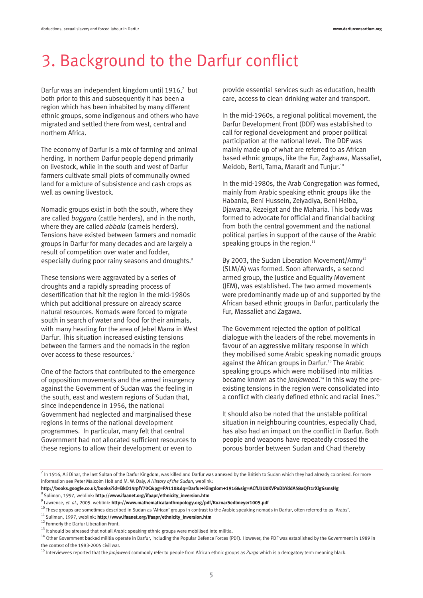# 3. Background to the Darfur conflict

Darfur was an independent kingdom until  $1916$ ,<sup>7</sup> but both prior to this and subsequently it has been a region which has been inhabited by many different ethnic groups, some indigenous and others who have migrated and settled there from west, central and northern Africa.

The economy of Darfur is a mix of farming and animal herding. In northern Darfur people depend primarily on livestock, while in the south and west of Darfur farmers cultivate small plots of communally owned land for a mixture of subsistence and cash crops as well as owning livestock.

Nomadic groups exist in both the south, where they are called *baggara* (cattle herders), and in the north, where they are called *abbala* (camels herders). Tensions have existed between farmers and nomadic groups in Darfur for many decades and are largely a result of competition over water and fodder, especially during poor rainy seasons and droughts.<sup>8</sup>

These tensions were aggravated by a series of droughts and a rapidly spreading process of desertification that hit the region in the mid-1980s which put additional pressure on already scarce natural resources. Nomads were forced to migrate south in search of water and food for their animals, with many heading for the area of Jebel Marra in West Darfur. This situation increased existing tensions between the farmers and the nomads in the region over access to these resources.<sup>9</sup>

One of the factors that contributed to the emergence of opposition movements and the armed insurgency against the Government of Sudan was the feeling in the south, east and western regions of Sudan that, since independence in 1956, the national Government had neglected and marginalised these regions in terms of the national development programmes. In particular, many felt that central Government had not allocated sufficient resources to these regions to allow their development or even to

provide essential services such as education, health care, access to clean drinking water and transport.

In the mid-1960s, a regional political movement, the Darfur Development Front (DDF) was established to call for regional development and proper political participation at the national level. The DDF was mainly made up of what are referred to as African based ethnic groups, like the Fur, Zaghawa, Massaliet, Meidob, Berti, Tama, Mararit and Tunjur.10

In the mid-1980s, the Arab Congregation was formed, mainly from Arabic speaking ethnic groups like the Habania, Beni Hussein, Zeiyadiya, Beni Helba, Djawama, Rezeigat and the Maharia. This body was formed to advocate for official and financial backing from both the central government and the national political parties in support of the cause of the Arabic speaking groups in the region. $11$ 

By 2003, the Sudan Liberation Movement/Army<sup>12</sup> (SLM/A) was formed. Soon afterwards, a second armed group, the Justice and Equality Movement (JEM), was established. The two armed movements were predominantly made up of and supported by the African based ethnic groups in Darfur, particularly the Fur, Massaliet and Zagawa.

The Government rejected the option of political dialogue with the leaders of the rebel movements in favour of an aggressive military response in which they mobilised some Arabic speaking nomadic groups against the African groups in Darfur.<sup>13</sup> The Arabic speaking groups which were mobilised into militias became known as the *Janjaweed*. <sup>14</sup> In this way the preexisting tensions in the region were consolidated into a conflict with clearly defined ethnic and racial lines.<sup>15</sup>

It should also be noted that the unstable political situation in neighbouring countries, especially Chad, has also had an impact on the conflict in Darfur. Both people and weapons have repeatedly crossed the porous border between Sudan and Chad thereby

**http://books.google.co.uk/books?id=BkO14rpfY70C&pg=PA110&dq=Darfur+Kingdom+1916&sig=ACfU3U0KVPuDbYddA58aQFt1rXlg6smsHg** 8 Suliman, 1997, weblink: **http://www.ifaanet.org/ifaapr/ethnicity\_inversion.htm**

 $\frac{7}{1}$  In 1916, Ali Dinar, the last Sultan of the Darfur Kingdom, was killed and Darfur was annexed by the British to Sudan which they had already colonised. For more information see Peter Malcolm Holt and M. W. Daly, *A History of the Sudan*, weblink:

<sup>9</sup> Lawrence, *et. al.*, 2005. weblink: **http://www.mathematicalanthropology.org/pdf/KuznarSedlmeyer1005.pdf**

<sup>&</sup>lt;sup>10</sup> These groups are sometimes described in Sudan as 'African' groups in contrast to the Arabic speaking nomads in Darfur, often referred to as 'Arabs'.<br><sup>11</sup> Suliman, 1997, weblink: **http://www.ifaanet.org/ifaapr/ethnici** 

<sup>&</sup>lt;sup>12</sup> Formerly the Darfur Liberation Front.

 $13$  It should be stressed that not all Arabic speaking ethnic groups were mobilised into militia.

<sup>&</sup>lt;sup>14</sup> Other Government backed militia operate in Darfur, including the Popular Defence Forces (PDF). However, the PDF was established by the Government in 1989 in the context of the 1983-2005 civil war.

<sup>&</sup>lt;sup>15</sup> Interviewees reported that the *Janjaweed* commonly refer to people from African ethnic groups as Zurga which is a derogatory term meaning black.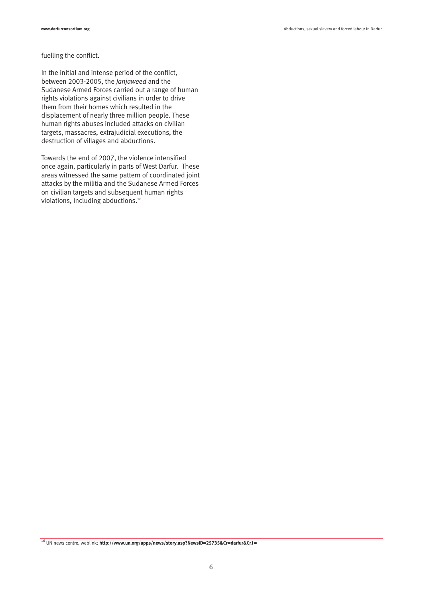#### fuelling the conflict.

In the initial and intense period of the conflict, between 2003-2005, the *Janjaweed* and the Sudanese Armed Forces carried out a range of human rights violations against civilians in order to drive them from their homes which resulted in the displacement of nearly three million people. These human rights abuses included attacks on civilian targets, massacres, extrajudicial executions, the destruction of villages and abductions.

Towards the end of 2007, the violence intensified once again, particularly in parts of West Darfur. These areas witnessed the same pattern of coordinated joint attacks by the militia and the Sudanese Armed Forces on civilian targets and subsequent human rights violations, including abductions.<sup>16</sup>

<sup>16</sup> UN news centre, weblink: **http://www.un.org/apps/news/story.asp?NewsID=25735&Cr=darfur&Cr1=**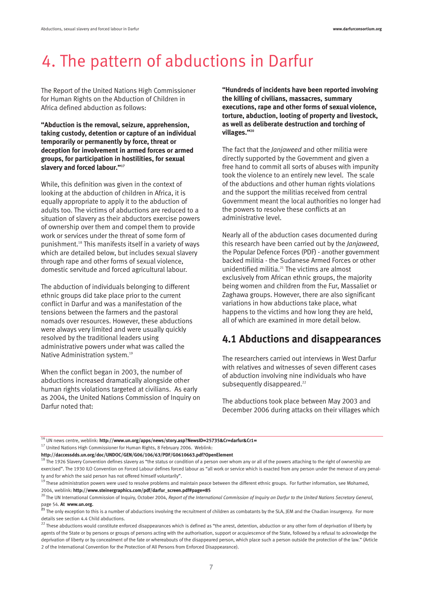# 4. The pattern of abductions in Darfur

The Report of the United Nations High Commissioner for Human Rights on the Abduction of Children in Africa defined abduction as follows:

**"Abduction is the removal, seizure, apprehension, taking custody, detention or capture of an individual temporarily or permanently by force, threat or deception for involvement in armed forces or armed groups, for participation in hostilities, for sexual slavery and forced labour."17** 

While, this definition was given in the context of looking at the abduction of children in Africa, it is equally appropriate to apply it to the abduction of adults too. The victims of abductions are reduced to a situation of slavery as their abductors exercise powers of ownership over them and compel them to provide work or services under the threat of some form of punishment.18 This manifests itself in a variety of ways which are detailed below, but includes sexual slavery through rape and other forms of sexual violence, domestic servitude and forced agricultural labour.

The abduction of individuals belonging to different ethnic groups did take place prior to the current conflict in Darfur and was a manifestation of the tensions between the farmers and the pastoral nomads over resources. However, these abductions were always very limited and were usually quickly resolved by the traditional leaders using administrative powers under what was called the Native Administration system.<sup>19</sup>

When the conflict began in 2003, the number of abductions increased dramatically alongside other human rights violations targeted at civilians. As early as 2004, the United Nations Commission of Inquiry on Darfur noted that:

**"Hundreds of incidents have been reported involving the killing of civilians, massacres, summary executions, rape and other forms of sexual violence, torture, abduction, looting of property and livestock, as well as deliberate destruction and torching of villages."20**

The fact that the *Janjaweed* and other militia were directly supported by the Government and given a free hand to commit all sorts of abuses with impunity took the violence to an entirely new level. The scale of the abductions and other human rights violations and the support the militias received from central Government meant the local authorities no longer had the powers to resolve these conflicts at an administrative level.

Nearly all of the abduction cases documented during this research have been carried out by the *Janjaweed*, the Popular Defence Forces (PDF) - another government backed militia - the Sudanese Armed Forces or other unidentified militia. $^{21}$  The victims are almost exclusively from African ethnic groups, the majority being women and children from the Fur, Massaliet or Zaghawa groups. However, there are also significant variations in how abductions take place, what happens to the victims and how long they are held, all of which are examined in more detail below.

### **4.1 Abductions and disappearances**

The researchers carried out interviews in West Darfur with relatives and witnesses of seven different cases of abduction involving nine individuals who have subsequently disappeared.<sup>22</sup>

The abductions took place between May 2003 and December 2006 during attacks on their villages which

<sup>16</sup> UN news centre, weblink: **http://www.un.org/apps/news/story.asp?NewsID=25735&Cr=darfur&Cr1=**

 $17$  United Nations High Commissioner for Human Rights, 8 February 2006. Weblink:

**http://daccessdds.un.org/doc/UNDOC/GEN/G06/106/63/PDF/G0610663.pdf?OpenElement**

 $18$  The 1926 Slavery Convention defines slavery as "the status or condition of a person over whom any or all of the powers attaching to the right of ownership are exercised". The 1930 ILO Convention on Forced Labour defines forced labour as "all work or service which is exacted from any person under the menace of any penal-

ty and for which the said person has not offered himself voluntarily".<br><sup>19</sup> These administration powers were used to resolve problems and maintain peace between the different ethnic groups. For further information, see Mo 2004, weblink: **http://www.steinergraphics.com/pdf/darfur\_screen.pdf#page=85**

<sup>20</sup> The UN International Commission of Inquiry, October 2004, *Report of the International Commission of Inquiry on Darfur to the United Nations Secretary General*, manumal Co.<br>page 54. **At www.un.org.**<br><sup>21</sup> The and

**<sup>21</sup>** The only exception to this is a number of abductions involving the recruitment of children as combatants by the SLA, JEM and the Chadian insurgency. For more details see section 4.4 Child abductions.

 $^{22}$  These abductions would constitute enforced disappearances which is defined as "the arrest, detention, abduction or any other form of deprivation of liberty by agents of the State or by persons or groups of persons acting with the authorisation, support or acquiescence of the State, followed by a refusal to acknowledge the deprivation of liberty or by concealment of the fate or whereabouts of the disappeared person, which place such a person outside the protection of the law." (Article 2 of the International Convention for the Protection of All Persons from Enforced Disappearance).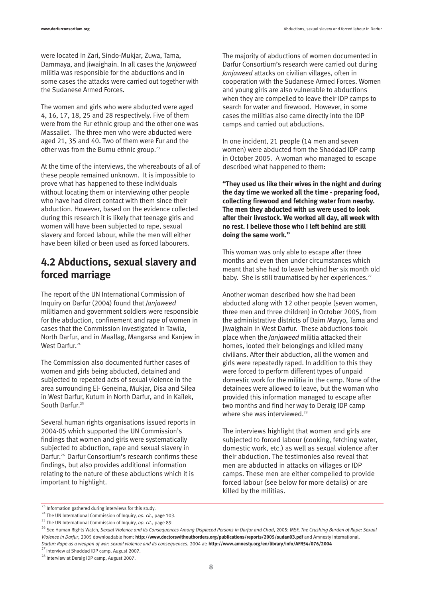**www.darfurconsortium.org CONSTANTING Abductions** and forced labour in Darfur

were located in Zari, Sindo-Mukjar, Zuwa, Tama, Dammaya, and Jiwaighain. In all cases the *Janjaweed* militia was responsible for the abductions and in some cases the attacks were carried out together with the Sudanese Armed Forces.

The women and girls who were abducted were aged 4, 16, 17, 18, 25 and 28 respectively. Five of them were from the Fur ethnic group and the other one was Massaliet. The three men who were abducted were aged 21, 35 and 40. Two of them were Fur and the other was from the Burnu ethnic group.<sup>23</sup>

At the time of the interviews, the whereabouts of all of these people remained unknown. It is impossible to prove what has happened to these individuals without locating them or interviewing other people who have had direct contact with them since their abduction. However, based on the evidence collected during this research it is likely that teenage girls and women will have been subjected to rape, sexual slavery and forced labour, while the men will either have been killed or been used as forced labourers.

### **4.2 Abductions, sexual slavery and forced marriage**

The report of the UN International Commission of Inquiry on Darfur (2004) found that *Janjaweed* militiamen and government soldiers were responsible for the abduction, confinement and rape of women in cases that the Commission investigated in Tawila, North Darfur, and in Maallag, Mangarsa and Kanjew in West Darfur.<sup>24</sup>

The Commission also documented further cases of women and girls being abducted, detained and subjected to repeated acts of sexual violence in the area surrounding El- Geneina, Mukjar, Disa and Silea in West Darfur, Kutum in North Darfur, and in Kailek, South Darfur.<sup>25</sup>

Several human rights organisations issued reports in 2004-05 which supported the UN Commission's findings that women and girls were systematically subjected to abduction, rape and sexual slavery in Darfur.26 Darfur Consortium's research confirms these findings, but also provides additional information relating to the nature of these abductions which it is important to highlight.

The majority of abductions of women documented in Darfur Consortium's research were carried out during *Janjaweed* attacks on civilian villages, often in cooperation with the Sudanese Armed Forces. Women and young girls are also vulnerable to abductions when they are compelled to leave their IDP camps to search for water and firewood. However, in some cases the militias also came directly into the IDP camps and carried out abductions.

In one incident, 21 people (14 men and seven women) were abducted from the Shaddad IDP camp in October 2005. A woman who managed to escape described what happened to them:

**"They used us like their wives in the night and during the day time we worked all the time - preparing food, collecting firewood and fetching water from nearby. The men they abducted with us were used to look after their livestock. We worked all day, all week with no rest. I believe those who I left behind are still doing the same work."** 

This woman was only able to escape after three months and even then under circumstances which meant that she had to leave behind her six month old baby. She is still traumatised by her experiences. $27$ 

Another woman described how she had been abducted along with 12 other people (seven women, three men and three children) in October 2005, from the administrative districts of Daim Mayyo, Tama and Jiwaighain in West Darfur. These abductions took place when the *Janjaweed* militia attacked their homes, looted their belongings and killed many civilians. After their abduction, all the women and girls were repeatedly raped. In addition to this they were forced to perform different types of unpaid domestic work for the militia in the camp. None of the detainees were allowed to leave, but the woman who provided this information managed to escape after two months and find her way to Deraig IDP camp where she was interviewed.<sup>28</sup>

The interviews highlight that women and girls are subjected to forced labour (cooking, fetching water, domestic work, etc.) as well as sexual violence after their abduction. The testimonies also reveal that men are abducted in attacks on villages or IDP camps. These men are either compelled to provide forced labour (see below for more details) or are killed by the militias.

<sup>&</sup>lt;sup>23</sup> Information gathered during interviews for this study.<br><sup>24</sup> The UN International Commission of Inquiry, *op. cit.*, page 103.

<sup>&</sup>lt;sup>25</sup> The UN International Commission of Inquiry, op. cit., page 89.<br><sup>26</sup> See Human Rights Watch, *Sexual Violence and its Consequences Among Displaced Persons in Darfur and Chad, 2005; MSF, The Crushing Burden of Rape: Sex Violence in Darfur*, 2005 downloadable from: **http://www.doctorswithoutborders.org/publications/reports/2005/sudan03.pdf** and Amnesty International, *Darfur: Rape as a weapon of war: sexual violence and its consequences*, 2004 at: **http://www.amnesty.org/en/library/info/AFR54/076/2004**

 $\sqrt{2}$  Interview at Shaddad IDP camp, August 2007.

<sup>&</sup>lt;sup>28</sup> Interview at Deraig IDP camp, August 2007.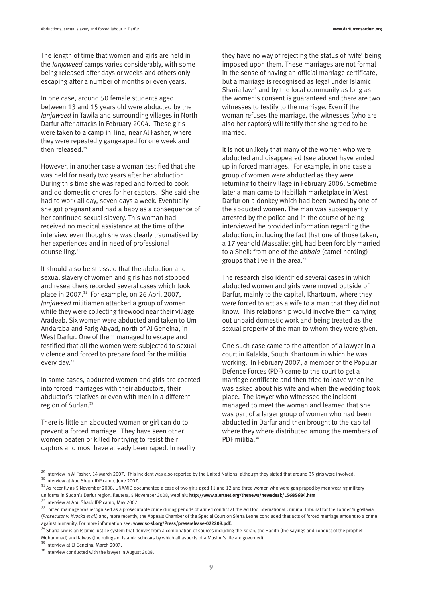The length of time that women and girls are held in the *Janjaweed* camps varies considerably, with some being released after days or weeks and others only escaping after a number of months or even years.

In one case, around 50 female students aged between 13 and 15 years old were abducted by the *Janjaweed* in Tawila and surrounding villages in North Darfur after attacks in February 2004. These girls were taken to a camp in Tina, near Al Fasher, where they were repeatedly gang-raped for one week and then released.<sup>29</sup>

However, in another case a woman testified that she was held for nearly two years after her abduction. During this time she was raped and forced to cook and do domestic chores for her captors. She said she had to work all day, seven days a week. Eventually she got pregnant and had a baby as a consequence of her continued sexual slavery. This woman had received no medical assistance at the time of the interview even though she was clearly traumatised by her experiences and in need of professional counselling.30

It should also be stressed that the abduction and sexual slavery of women and girls has not stopped and researchers recorded several cases which took place in 2007.<sup>31</sup> For example, on 26 April 2007, *Janjaweed* militiamen attacked a group of women while they were collecting firewood near their village Aradeab. Six women were abducted and taken to Um Andaraba and Farig Abyad, north of Al Geneina, in West Darfur. One of them managed to escape and testified that all the women were subjected to sexual violence and forced to prepare food for the militia every day.<sup>32</sup>

In some cases, abducted women and girls are coerced into forced marriages with their abductors, their abductor's relatives or even with men in a different region of Sudan.<sup>33</sup>

There is little an abducted woman or girl can do to prevent a forced marriage. They have seen other women beaten or killed for trying to resist their captors and most have already been raped. In reality

they have no way of rejecting the status of 'wife' being imposed upon them. These marriages are not formal in the sense of having an official marriage certificate, but a marriage is recognised as legal under Islamic Sharia law<sup>34</sup> and by the local community as long as the women's consent is guaranteed and there are two witnesses to testify to the marriage. Even if the woman refuses the marriage, the witnesses (who are also her captors) will testify that she agreed to be married.

It is not unlikely that many of the women who were abducted and disappeared (see above) have ended up in forced marriages. For example, in one case a group of women were abducted as they were returning to their village in February 2006. Sometime later a man came to Habillah marketplace in West Darfur on a donkey which had been owned by one of the abducted women. The man was subsequently arrested by the police and in the course of being interviewed he provided information regarding the abduction, including the fact that one of those taken, a 17 year old Massaliet girl, had been forcibly married to a Sheik from one of the *abbala* (camel herding) groups that live in the area.<sup>35</sup>

The research also identified several cases in which abducted women and girls were moved outside of Darfur, mainly to the capital, Khartoum, where they were forced to act as a wife to a man that they did not know. This relationship would involve them carrying out unpaid domestic work and being treated as the sexual property of the man to whom they were given.

One such case came to the attention of a lawyer in a court in Kalakla, South Khartoum in which he was working. In February 2007, a member of the Popular Defence Forces (PDF) came to the court to get a marriage certificate and then tried to leave when he was asked about his wife and when the wedding took place. The lawyer who witnessed the incident managed to meet the woman and learned that she was part of a larger group of women who had been abducted in Darfur and then brought to the capital where they where distributed among the members of PDF militia.<sup>36</sup>

<sup>35</sup> Interview at El Geneina, March 2007.

 $^{29}$  Interview in Al Fasher, 14 March 2007. This incident was also reported by the United Nations, although they stated that around 35 girls were involved.<br><sup>30</sup> Interview at Abu Shauk IDP camp, June 2007.

 $31$  As recently as 5 November 2008, UNAMID documented a case of two girls aged 11 and 12 and three women who were gang-raped by men wearing military uniforms in Sudan's Darfur region. Reuters, 5 November 2008, weblink: **http://www.alertnet.org/thenews/newsdesk/L5685684.htm**

<sup>&</sup>lt;sup>32</sup> Interview at Abu Shauk IDP camp, May 2007.

<sup>&</sup>lt;sup>33</sup> Forced marriage was recognised as a prosecutable crime during periods of armed conflict at the Ad Hoc International Criminal Tribunal for the Former Yugoslavia (*Prosecutor v. Kvocka et al.*) and, more recently, the Appeals Chamber of the Special Court on Sierra Leone concluded that acts of forced marriage amount to a crime against humanity. For more information see: **www.sc-sl.org/Press/pressrelease-022208.pdf.**

<sup>.&</sup>lt;br>Sharia law is an Islamic justice system that derives from a combination of sources including the Koran, the Hadith (the sayings and conduct of the prophet Muhammad) and fatwas (the rulings of Islamic scholars by which all aspects of a Muslim's life are governed).

<sup>&</sup>lt;sup>36</sup> Interview conducted with the lawyer in August 2008.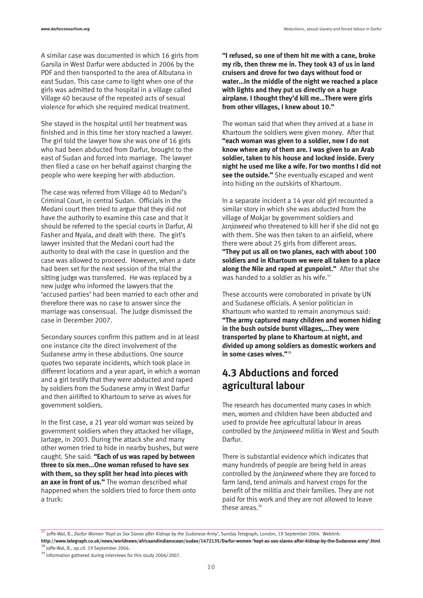A similar case was documented in which 16 girls from Garsila in West Darfur were abducted in 2006 by the PDF and then transported to the area of Albutana in east Sudan. This case came to light when one of the girls was admitted to the hospital in a village called Village 40 because of the repeated acts of sexual violence for which she required medical treatment.

She stayed in the hospital until her treatment was finished and in this time her story reached a lawyer. The girl told the lawyer how she was one of 16 girls who had been abducted from Darfur, brought to the east of Sudan and forced into marriage. The lawyer then filed a case on her behalf against charging the people who were keeping her with abduction.

The case was referred from Village 40 to Medani's Criminal Court, in central Sudan. Officials in the Medani court then tried to argue that they did not have the authority to examine this case and that it should be referred to the special courts in Darfur, Al Fasher and Nyala, and dealt with there. The girl's lawyer insisted that the Medani court had the authority to deal with the case in question and the case was allowed to proceed. However, when a date had been set for the next session of the trial the sitting judge was transferred. He was replaced by a new judge who informed the lawyers that the 'accused parties' had been married to each other and therefore there was no case to answer since the marriage was consensual. The Judge dismissed the case in December 2007.

Secondary sources confirm this pattern and in at least one instance cite the direct involvement of the Sudanese army in these abductions. One source quotes two separate incidents, which took place in different locations and a year apart, in which a woman and a girl testify that they were abducted and raped by soldiers from the Sudanese army in West Darfur and then airlifted to Khartoum to serve as wives for government soldiers.

In the first case, a 21 year old woman was seized by government soldiers when they attacked her village, Jartage, in 2003. During the attack she and many other women tried to hide in nearby bushes, but were caught. She said: **"Each of us was raped by between three to six men…One woman refused to have sex with them, so they split her head into pieces with an axe in front of us."** The woman described what happened when the soldiers tried to force them onto a truck:

**"I refused, so one of them hit me with a cane, broke my rib, then threw me in. They took 43 of us in land cruisers and drove for two days without food or water…In the middle of the night we reached a place with lights and they put us directly on a huge airplane. I thought they'd kill me…There were girls from other villages, I knew about 10."**

The woman said that when they arrived at a base in Khartoum the soldiers were given money. After that **"each woman was given to a soldier, now I do not know where any of them are. I was given to an Arab soldier, taken to his house and locked inside. Every night he used me like a wife. For two months I did not see the outside."** She eventually escaped and went into hiding on the outskirts of Khartoum.

In a separate incident a 14 year old girl recounted a similar story in which she was abducted from the village of Mokjar by government soldiers and *Janjaweed* who threatened to kill her if she did not go with them. She was then taken to an airfield, where there were about 25 girls from different areas. **"They put us all on two planes, each with about 100 soldiers and in Khartoum we were all taken to a place along the Nile and raped at gunpoint."** After that she was handed to a soldier as his wife.<sup>37</sup>

These accounts were corroborated in private by UN and Sudanese officials. A senior politician in Khartoum who wanted to remain anonymous said: **"The army captured many children and women hiding in the bush outside burnt villages,…They were transported by plane to Khartoum at night, and divided up among soldiers as domestic workers and in some cases wives."**<sup>38</sup>

## **4.3 Abductions and forced agricultural labour**

The research has documented many cases in which men, women and children have been abducted and used to provide free agricultural labour in areas controlled by the *Janjaweed* militia in West and South Darfur.

There is substantial evidence which indicates that many hundreds of people are being held in areas controlled by the *Janjaweed* where they are forced to farm land, tend animals and harvest crops for the benefit of the militia and their families. They are not paid for this work and they are not allowed to leave these areas.<sup>39</sup>

<sup>37</sup> Joffe-Wal, B., *Darfur Women 'Kept as Sex Slaves after Kidnap by the Sudanese Army*', Sunday Telegraph, London, 19 September 2004. Weblink: **http://www.telegraph.co.uk/news/worldnews/africaandindianocean/sudan/1472135/Darfur-women-'kept-as-sex-slaves-after-kidnap-by-the-Sudanese-army'.html** <sup>38</sup> Joffe-Wal, B., *op.cit.* 19 September 2004.

<sup>&</sup>lt;sup>39</sup> Information gathered during interviews for this study 2006/2007.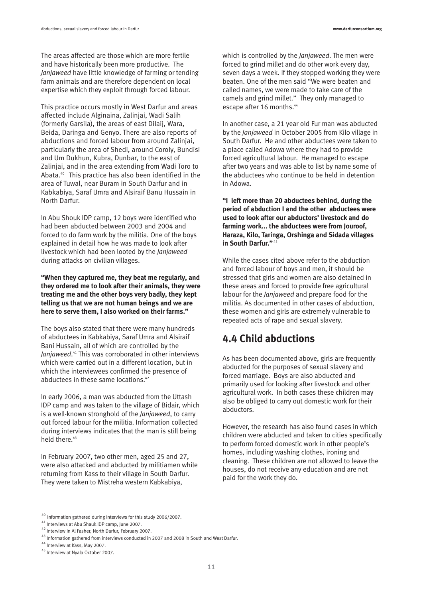The areas affected are those which are more fertile and have historically been more productive. The *Janjaweed* have little knowledge of farming or tending farm animals and are therefore dependent on local expertise which they exploit through forced labour.

This practice occurs mostly in West Darfur and areas affected include Alginaina, Zalinjai, Wadi Salih (formerly Garsila), the areas of east Dilaij, Wara, Beida, Daringa and Genyo. There are also reports of abductions and forced labour from around Zalinjai, particularly the area of Shedi, around Coroly, Bundisi and Um Dukhun, Kubra, Dunbar, to the east of Zalinjai, and in the area extending from Wadi Toro to Abata.40 This practice has also been identified in the area of Tuwal, near Buram in South Darfur and in Kabkabiya, Saraf Umra and Alsiraif Banu Hussain in North Darfur.

In Abu Shouk IDP camp, 12 boys were identified who had been abducted between 2003 and 2004 and forced to do farm work by the militia. One of the boys explained in detail how he was made to look after livestock which had been looted by the *Janjaweed* during attacks on civilian villages.

**"When they captured me, they beat me regularly, and they ordered me to look after their animals, they were treating me and the other boys very badly, they kept telling us that we are not human beings and we are here to serve them, I also worked on their farms."**

The boys also stated that there were many hundreds of abductees in Kabkabiya, Saraf Umra and Alsiraif Bani Hussain, all of which are controlled by the *Janjaweed*. <sup>41</sup> This was corroborated in other interviews which were carried out in a different location, but in which the interviewees confirmed the presence of abductees in these same locations.<sup>42</sup>

In early 2006, a man was abducted from the Uttash IDP camp and was taken to the village of Bidair, which is a well-known stronghold of the *Janjaweed*, to carry out forced labour for the militia. Information collected during interviews indicates that the man is still being held there.<sup>43</sup>

In February 2007, two other men, aged 25 and 27, were also attacked and abducted by militiamen while returning from Kass to their village in South Darfur. They were taken to Mistreha western Kabkabiya,

which is controlled by the *Janjaweed*. The men were forced to grind millet and do other work every day, seven days a week. If they stopped working they were beaten. One of the men said "We were beaten and called names, we were made to take care of the camels and grind millet." They only managed to escape after 16 months.<sup>44</sup>

In another case, a 21 year old Fur man was abducted by the *Janjaweed* in October 2005 from Kilo village in South Darfur. He and other abductees were taken to a place called Adowa where they had to provide forced agricultural labour. He managed to escape after two years and was able to list by name some of the abductees who continue to be held in detention in Adowa.

**"I left more than 20 abductees behind, during the period of abduction I and the other abductees were used to look after our abductors' livestock and do farming work... the abductees were from Jouroof, Haraza, Kilo, Taringa, Orshinga and Sidada villages in South Darfur."** <sup>45</sup>

While the cases cited above refer to the abduction and forced labour of boys and men, it should be stressed that girls and women are also detained in these areas and forced to provide free agricultural labour for the *Janjaweed* and prepare food for the militia. As documented in other cases of abduction, these women and girls are extremely vulnerable to repeated acts of rape and sexual slavery.

### **4.4 Child abductions**

As has been documented above, girls are frequently abducted for the purposes of sexual slavery and forced marriage. Boys are also abducted and primarily used for looking after livestock and other agricultural work. In both cases these children may also be obliged to carry out domestic work for their abductors.

However, the research has also found cases in which children were abducted and taken to cities specifically to perform forced domestic work in other people's homes, including washing clothes, ironing and cleaning. These children are not allowed to leave the houses, do not receive any education and are not paid for the work they do.

<sup>40</sup> Information gathered during interviews for this study 2006/2007.

<sup>41</sup> Interviews at Abu Shauk IDP camp, June 2007.

<sup>42</sup> Interview in Al Fasher, North Darfur, February 2007.

<sup>43</sup> Information gathered from interviews conducted in 2007 and 2008 in South and West Darfur.

<sup>44</sup> Interview at Kass, May 2007.

<sup>45</sup> Interview at Nyala October 2007.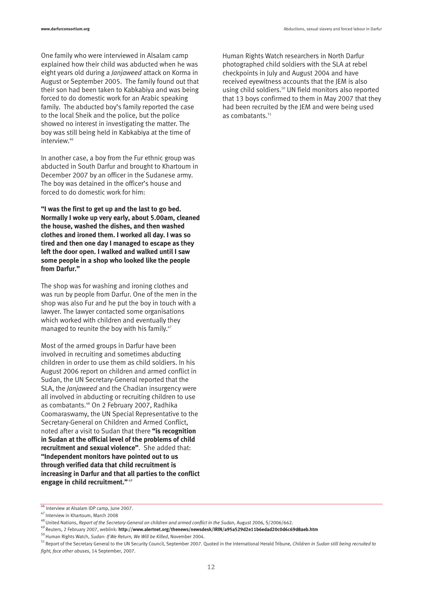One family who were interviewed in Alsalam camp explained how their child was abducted when he was eight years old during a *Janjaweed* attack on Korma in August or September 2005. The family found out that their son had been taken to Kabkabiya and was being forced to do domestic work for an Arabic speaking family. The abducted boy's family reported the case to the local Sheik and the police, but the police showed no interest in investigating the matter. The boy was still being held in Kabkabiya at the time of interview.<sup>46</sup>

In another case, a boy from the Fur ethnic group was abducted in South Darfur and brought to Khartoum in December 2007 by an officer in the Sudanese army. The boy was detained in the officer's house and forced to do domestic work for him:

**"I was the first to get up and the last to go bed. Normally I woke up very early, about 5.00am, cleaned the house, washed the dishes, and then washed clothes and ironed them. I worked all day. I was so tired and then one day I managed to escape as they left the door open. I walked and walked until I saw some people in a shop who looked like the people from Darfur."**

The shop was for washing and ironing clothes and was run by people from Darfur. One of the men in the shop was also Fur and he put the boy in touch with a lawyer. The lawyer contacted some organisations which worked with children and eventually they managed to reunite the boy with his family.<sup>47</sup>

Most of the armed groups in Darfur have been involved in recruiting and sometimes abducting children in order to use them as child soldiers. In his August 2006 report on children and armed conflict in Sudan, the UN Secretary-General reported that the SLA, the *Janjaweed* and the Chadian insurgency were all involved in abducting or recruiting children to use as combatants.<sup>48</sup> On 2 February 2007, Radhika Coomaraswamy, the UN Special Representative to the Secretary-General on Children and Armed Conflict, noted after a visit to Sudan that there **"is recognition in Sudan at the official level of the problems of child recruitment and sexual violence"**. She added that: **"Independent monitors have pointed out to us through verified data that child recruitment is increasing in Darfur and that all parties to the conflict engage in child recruitment."** <sup>49</sup>

Human Rights Watch researchers in North Darfur photographed child soldiers with the SLA at rebel checkpoints in July and August 2004 and have received eyewitness accounts that the JEM is also using child soldiers.<sup>50</sup> UN field monitors also reported that 13 boys confirmed to them in May 2007 that they had been recruited by the JEM and were being used as combatants.<sup>51</sup>

49 Reuters, 2 February 2007, weblink: **http://www.alertnet.org/thenews/newsdesk/IRIN/a95a529d2e11b6edad20c0d6c69d8aeb.htm**

<sup>46</sup> Interview at Alsalam IDP camp, June 2007.

<sup>47</sup> Interview in Khartoum, March 2008

<sup>48</sup> United Nations, *Report of the Secretary-General on children and armed conflict in the Sudan*, August 2006, S/2006/662.

<sup>50</sup> Human Rights Watch, *Sudan: If We Return, We Will be Killed*, November 2004.

<sup>51</sup> Report of the Secretary General to the UN Security Council, September 2007. Quoted in the International Herald Tribune, *Children in Sudan still being recruited to fight, face other abuses*, 14 September, 2007.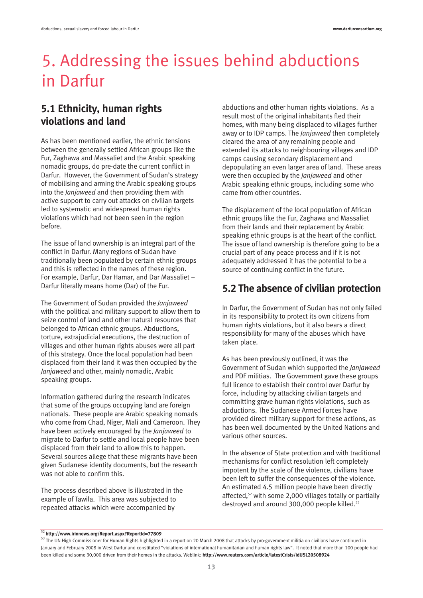# 5. Addressing the issues behind abductions in Darfur

### **5.1 Ethnicity, human rights violations and land**

As has been mentioned earlier, the ethnic tensions between the generally settled African groups like the Fur, Zaghawa and Massaliet and the Arabic speaking nomadic groups, do pre-date the current conflict in Darfur. However, the Government of Sudan's strategy of mobilising and arming the Arabic speaking groups into the *Janjaweed* and then providing them with active support to carry out attacks on civilian targets led to systematic and widespread human rights violations which had not been seen in the region before.

The issue of land ownership is an integral part of the conflict in Darfur. Many regions of Sudan have traditionally been populated by certain ethnic groups and this is reflected in the names of these region. For example, Darfur, Dar Hamar, and Dar Massaliet – Darfur literally means home (Dar) of the Fur.

The Government of Sudan provided the *Janjaweed* with the political and military support to allow them to seize control of land and other natural resources that belonged to African ethnic groups. Abductions, torture, extrajudicial executions, the destruction of villages and other human rights abuses were all part of this strategy. Once the local population had been displaced from their land it was then occupied by the *Janjaweed* and other, mainly nomadic, Arabic speaking groups.

Information gathered during the research indicates that some of the groups occupying land are foreign nationals. These people are Arabic speaking nomads who come from Chad, Niger, Mali and Cameroon. They have been actively encouraged by the *Janjaweed* to migrate to Darfur to settle and local people have been displaced from their land to allow this to happen. Several sources allege that these migrants have been given Sudanese identity documents, but the research was not able to confirm this.

The process described above is illustrated in the example of Tawila. This area was subjected to repeated attacks which were accompanied by

abductions and other human rights violations. As a result most of the original inhabitants fled their homes, with many being displaced to villages further away or to IDP camps. The *Janjaweed* then completely cleared the area of any remaining people and extended its attacks to neighbouring villages and IDP camps causing secondary displacement and depopulating an even larger area of land. These areas were then occupied by the *Janjaweed* and other Arabic speaking ethnic groups, including some who came from other countries.

The displacement of the local population of African ethnic groups like the Fur, Zaghawa and Massaliet from their lands and their replacement by Arabic speaking ethnic groups is at the heart of the conflict. The issue of land ownership is therefore going to be a crucial part of any peace process and if it is not adequately addressed it has the potential to be a source of continuing conflict in the future.

### **5.2 The absence of civilian protection**

In Darfur, the Government of Sudan has not only failed in its responsibility to protect its own citizens from human rights violations, but it also bears a direct responsibility for many of the abuses which have taken place.

As has been previously outlined, it was the Government of Sudan which supported the *Janjaweed* and PDF militias. The Government gave these groups full licence to establish their control over Darfur by force, including by attacking civilian targets and committing grave human rights violations, such as abductions. The Sudanese Armed Forces have provided direct military support for these actions, as has been well documented by the United Nations and various other sources.

In the absence of State protection and with traditional mechanisms for conflict resolution left completely impotent by the scale of the violence, civilians have been left to suffer the consequences of the violence. An estimated 4.5 million people have been directly affected,52 with some 2,000 villages totally or partially destroyed and around 300,000 people killed.<sup>53</sup>

<sup>52</sup>**http://www.irinnews.org/Report.aspx?ReportId=77809**

<sup>&</sup>lt;sup>53</sup> The UN High Commissioner for Human Rights highlighted in a report on 20 March 2008 that attacks by pro-government militia on civilians have continued in January and February 2008 in West Darfur and constituted "violations of international humanitarian and human rights law". It noted that more than 100 people had been killed and some 30,000 driven from their homes in the attacks. Weblink: **http://www.reuters.com/article/latestCrisis/idUSL20508924**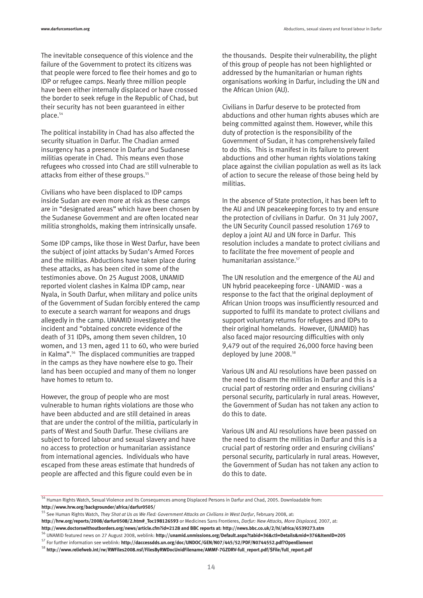The inevitable consequence of this violence and the failure of the Government to protect its citizens was that people were forced to flee their homes and go to IDP or refugee camps. Nearly three million people have been either internally displaced or have crossed the border to seek refuge in the Republic of Chad, but their security has not been guaranteed in either place.54

The political instability in Chad has also affected the security situation in Darfur. The Chadian armed insurgency has a presence in Darfur and Sudanese militias operate in Chad. This means even those refugees who crossed into Chad are still vulnerable to attacks from either of these groups.<sup>55</sup>

Civilians who have been displaced to IDP camps inside Sudan are even more at risk as these camps are in "designated areas" which have been chosen by the Sudanese Government and are often located near militia strongholds, making them intrinsically unsafe.

Some IDP camps, like those in West Darfur, have been the subject of joint attacks by Sudan's Armed Forces and the militias. Abductions have taken place during these attacks, as has been cited in some of the testimonies above. On 25 August 2008, UNAMID reported violent clashes in Kalma IDP camp, near Nyala, in South Darfur, when military and police units of the Government of Sudan forcibly entered the camp to execute a search warrant for weapons and drugs allegedly in the camp. UNAMID investigated the incident and "obtained concrete evidence of the death of 31 IDPs, among them seven children, 10 women, and 13 men, aged 11 to 60, who were buried in Kalma".<sup>56</sup> The displaced communities are trapped in the camps as they have nowhere else to go. Their land has been occupied and many of them no longer have homes to return to.

However, the group of people who are most vulnerable to human rights violations are those who have been abducted and are still detained in areas that are under the control of the militia, particularly in parts of West and South Darfur. These civilians are subject to forced labour and sexual slavery and have no access to protection or humanitarian assistance from international agencies. Individuals who have escaped from these areas estimate that hundreds of people are affected and this figure could even be in

the thousands. Despite their vulnerability, the plight of this group of people has not been highlighted or addressed by the humanitarian or human rights organisations working in Darfur, including the UN and the African Union (AU).

Civilians in Darfur deserve to be protected from abductions and other human rights abuses which are being committed against them. However, while this duty of protection is the responsibility of the Government of Sudan, it has comprehensively failed to do this. This is manifest in its failure to prevent abductions and other human rights violations taking place against the civilian population as well as its lack of action to secure the release of those being held by militias.

In the absence of State protection, it has been left to the AU and UN peacekeeping forces to try and ensure the protection of civilians in Darfur. On 31 July 2007, the UN Security Council passed resolution 1769 to deploy a joint AU and UN force in Darfur. This resolution includes a mandate to protect civilians and to facilitate the free movement of people and humanitarian assistance.<sup>57</sup>

The UN resolution and the emergence of the AU and UN hybrid peacekeeping force - UNAMID - was a response to the fact that the original deployment of African Union troops was insufficiently resourced and supported to fulfil its mandate to protect civilians and support voluntary returns for refugees and IDPs to their original homelands. However, (UNAMID) has also faced major resourcing difficulties with only 9,479 out of the required 26,000 force having been deployed by June 2008.<sup>58</sup>

Various UN and AU resolutions have been passed on the need to disarm the militias in Darfur and this is a crucial part of restoring order and ensuring civilians' personal security, particularly in rural areas. However, the Government of Sudan has not taken any action to do this to date.

Various UN and AU resolutions have been passed on the need to disarm the militias in Darfur and this is a crucial part of restoring order and ensuring civilians' personal security, particularly in rural areas. However, the Government of Sudan has not taken any action to do this to date.

**http://www.doctorswithoutborders.org/news/article.cfm?id=2128 and BBC reports at: http://news.bbc.co.uk/2/hi/africa/6539273.stm**

<sup>56</sup> UNAMID featured news on 27 August 2008, weblink: **http://unamid.unmissions.org/Default.aspx?tabid=36&ctl=Details&mid=376&ItemID=205**

<sup>57</sup> For further information see weblink: **http://daccessdds.un.org/doc/UNDOC/GEN/N07/445/52/PDF/N0744552.pdf?OpenElement**

<sup>54</sup> Human Rights Watch, Sexual Violence and its Consequences among Displaced Persons in Darfur and Chad, 2005. Downloadable from:

**http://www.hrw.org/backgrounder/africa/darfur0505/**<br><sup>55</sup> See Human Rights Watch, *They Shot at Us as We Fled: Government Attacks on Civilians in West Darfur, February 2008, at:* 

**http://hrw.org/reports/2008/darfur0508/2.htm#\_Toc198126593** or Medicines Sans Frontieres, *Darfur: New Attacks, More Displaced,* 2007, at:

<sup>58</sup> **http://www.reliefweb.int/rw/RWFiles2008.nsf/FilesByRWDocUnidFilename/AMMF-7GZDRV-full\_report.pdf/\$File/full\_report.pdf**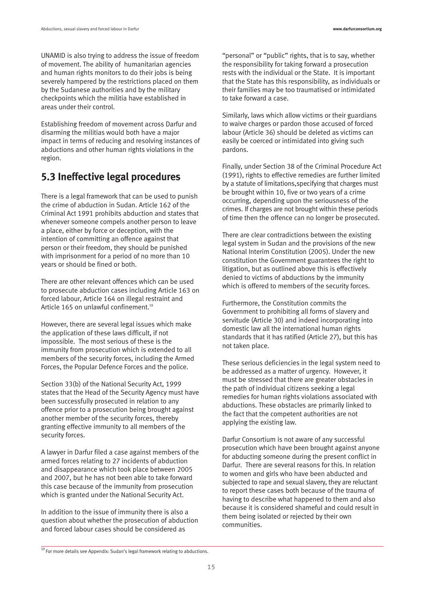UNAMID is also trying to address the issue of freedom of movement. The ability of humanitarian agencies and human rights monitors to do their jobs is being severely hampered by the restrictions placed on them by the Sudanese authorities and by the military checkpoints which the militia have established in areas under their control.

Establishing freedom of movement across Darfur and disarming the militias would both have a major impact in terms of reducing and resolving instances of abductions and other human rights violations in the region.

### **5.3 Ineffective legal procedures**

There is a legal framework that can be used to punish the crime of abduction in Sudan. Article 162 of the Criminal Act 1991 prohibits abduction and states that whenever someone compels another person to leave a place, either by force or deception, with the intention of committing an offence against that person or their freedom, they should be punished with imprisonment for a period of no more than 10 years or should be fined or both.

There are other relevant offences which can be used to prosecute abduction cases including Article 163 on forced labour, Article 164 on illegal restraint and Article 165 on unlawful confinement.<sup>59</sup>

However, there are several legal issues which make the application of these laws difficult, if not impossible. The most serious of these is the immunity from prosecution which is extended to all members of the security forces, including the Armed Forces, the Popular Defence Forces and the police.

Section 33(b) of the National Security Act, 1999 states that the Head of the Security Agency must have been successfully prosecuted in relation to any offence prior to a prosecution being brought against another member of the security forces, thereby granting effective immunity to all members of the security forces.

A lawyer in Darfur filed a case against members of the armed forces relating to 27 incidents of abduction and disappearance which took place between 2005 and 2007, but he has not been able to take forward this case because of the immunity from prosecution which is granted under the National Security Act.

In addition to the issue of immunity there is also a question about whether the prosecution of abduction and forced labour cases should be considered as

"personal" or "public" rights, that is to say, whether the responsibility for taking forward a prosecution rests with the individual or the State. It is important that the State has this responsibility, as individuals or their families may be too traumatised or intimidated to take forward a case.

Similarly, laws which allow victims or their guardians to waive charges or pardon those accused of forced labour (Article 36) should be deleted as victims can easily be coerced or intimidated into giving such pardons.

Finally, under Section 38 of the Criminal Procedure Act (1991), rights to effective remedies are further limited by a statute of limitations,specifying that charges must be brought within 10, five or two years of a crime occurring, depending upon the seriousness of the crimes. If charges are not brought within these periods of time then the offence can no longer be prosecuted.

There are clear contradictions between the existing legal system in Sudan and the provisions of the new National Interim Constitution (2005). Under the new constitution the Government guarantees the right to litigation, but as outlined above this is effectively denied to victims of abductions by the immunity which is offered to members of the security forces.

Furthermore, the Constitution commits the Government to prohibiting all forms of slavery and servitude (Article 30) and indeed incorporating into domestic law all the international human rights standards that it has ratified (Article 27), but this has not taken place.

These serious deficiencies in the legal system need to be addressed as a matter of urgency. However, it must be stressed that there are greater obstacles in the path of individual citizens seeking a legal remedies for human rights violations associated with abductions. These obstacles are primarily linked to the fact that the competent authorities are not applying the existing law.

Darfur Consortium is not aware of any successful prosecution which have been brought against anyone for abducting someone during the present conflict in Darfur. There are several reasons for this. In relation to women and girls who have been abducted and subjected to rape and sexual slavery, they are reluctant to report these cases both because of the trauma of having to describe what happened to them and also because it is considered shameful and could result in them being isolated or rejected by their own communities.

 $\overline{59}$  For more details see Appendix: Sudan's legal framework relating to abductions.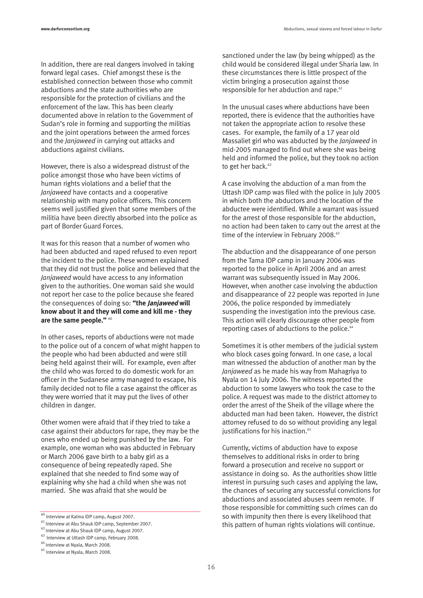In addition, there are real dangers involved in taking forward legal cases. Chief amongst these is the established connection between those who commit abductions and the state authorities who are responsible for the protection of civilians and the enforcement of the law. This has been clearly documented above in relation to the Government of Sudan's role in forming and supporting the militias and the joint operations between the armed forces and the *Janjaweed* in carrying out attacks and abductions against civilians.

However, there is also a widespread distrust of the police amongst those who have been victims of human rights violations and a belief that the *Janjaweed* have contacts and a cooperative relationship with many police officers. This concern seems well justified given that some members of the militia have been directly absorbed into the police as part of Border Guard Forces.

It was for this reason that a number of women who had been abducted and raped refused to even report the incident to the police. These women explained that they did not trust the police and believed that the *Janjaweed* would have access to any information given to the authorities. One woman said she would not report her case to the police because she feared the consequences of doing so: **"the Janjaweed will know about it and they will come and kill me - they are the same people."** <sup>60</sup>

In other cases, reports of abductions were not made to the police out of a concern of what might happen to the people who had been abducted and were still being held against their will. For example, even after the child who was forced to do domestic work for an officer in the Sudanese army managed to escape, his family decided not to file a case against the officer as they were worried that it may put the lives of other children in danger.

Other women were afraid that if they tried to take a case against their abductors for rape, they may be the ones who ended up being punished by the law. For example, one woman who was abducted in February or March 2006 gave birth to a baby girl as a consequence of being repeatedly raped. She explained that she needed to find some way of explaining why she had a child when she was not married. She was afraid that she would be

sanctioned under the law (by being whipped) as the child would be considered illegal under Sharia law. In these circumstances there is little prospect of the victim bringing a prosecution against those responsible for her abduction and rape.<sup>61</sup>

In the unusual cases where abductions have been reported, there is evidence that the authorities have not taken the appropriate action to resolve these cases. For example, the family of a 17 year old Massaliet girl who was abducted by the *Janjaweed* in mid-2005 managed to find out where she was being held and informed the police, but they took no action to get her back.<sup>62</sup>

A case involving the abduction of a man from the Uttash IDP camp was filed with the police in July 2005 in which both the abductors and the location of the abductee were identified. While a warrant was issued for the arrest of those responsible for the abduction, no action had been taken to carry out the arrest at the time of the interview in February 2008.<sup>63</sup>

The abduction and the disappearance of one person from the Tama IDP camp in January 2006 was reported to the police in April 2006 and an arrest warrant was subsequently issued in May 2006. However, when another case involving the abduction and disappearance of 22 people was reported in June 2006, the police responded by immediately suspending the investigation into the previous case. This action will clearly discourage other people from reporting cases of abductions to the police.<sup>64</sup>

Sometimes it is other members of the judicial system who block cases going forward. In one case, a local man witnessed the abduction of another man by the *Janjaweed* as he made his way from Mahagriya to Nyala on 14 July 2006. The witness reported the abduction to some lawyers who took the case to the police. A request was made to the district attorney to order the arrest of the Sheik of the village where the abducted man had been taken. However, the district attorney refused to do so without providing any legal justifications for his inaction.<sup>65</sup>

Currently, victims of abduction have to expose themselves to additional risks in order to bring forward a prosecution and receive no support or assistance in doing so. As the authorities show little interest in pursuing such cases and applying the law, the chances of securing any successful convictions for abductions and associated abuses seem remote. If those responsible for committing such crimes can do so with impunity then there is every likelihood that this pattern of human rights violations will continue.

<sup>60</sup> Interview at Kalma IDP camp, August 2007.

<sup>61</sup> Interview at Abu Shauk IDP camp, September 2007.

<sup>62</sup> Interview at Abu Shauk IDP camp, August 2007.

<sup>63</sup> Interview at Uttash IDP camp, February 2008.

 $64$  Interview at Nyala, March 2008.<br> $65$  Interview at Nyala, March 2008.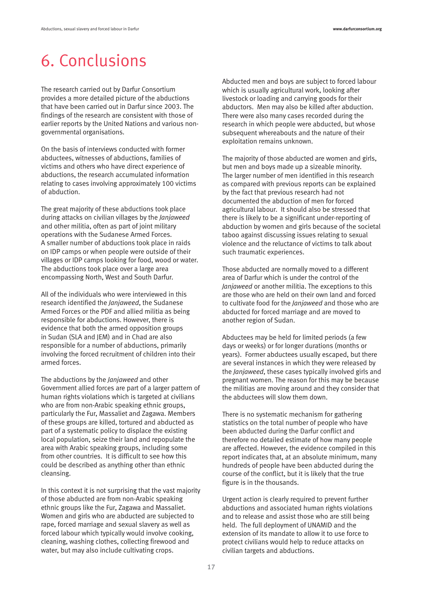# 6. Conclusions

The research carried out by Darfur Consortium provides a more detailed picture of the abductions that have been carried out in Darfur since 2003. The findings of the research are consistent with those of earlier reports by the United Nations and various nongovernmental organisations.

On the basis of interviews conducted with former abductees, witnesses of abductions, families of victims and others who have direct experience of abductions, the research accumulated information relating to cases involving approximately 100 victims of abduction.

The great majority of these abductions took place during attacks on civilian villages by the *Janjaweed* and other militia, often as part of joint military operations with the Sudanese Armed Forces. A smaller number of abductions took place in raids on IDP camps or when people were outside of their villages or IDP camps looking for food, wood or water. The abductions took place over a large area encompassing North, West and South Darfur.

All of the individuals who were interviewed in this research identified the *Janjaweed*, the Sudanese Armed Forces or the PDF and allied militia as being responsible for abductions. However, there is evidence that both the armed opposition groups in Sudan (SLA and JEM) and in Chad are also responsible for a number of abductions, primarily involving the forced recruitment of children into their armed forces.

The abductions by the *Janjaweed* and other Government allied forces are part of a larger pattern of human rights violations which is targeted at civilians who are from non-Arabic speaking ethnic groups, particularly the Fur, Massaliet and Zagawa. Members of these groups are killed, tortured and abducted as part of a systematic policy to displace the existing local population, seize their land and repopulate the area with Arabic speaking groups, including some from other countries. It is difficult to see how this could be described as anything other than ethnic cleansing.

In this context it is not surprising that the vast majority of those abducted are from non-Arabic speaking ethnic groups like the Fur, Zagawa and Massaliet. Women and girls who are abducted are subjected to rape, forced marriage and sexual slavery as well as forced labour which typically would involve cooking, cleaning, washing clothes, collecting firewood and water, but may also include cultivating crops.

Abducted men and boys are subject to forced labour which is usually agricultural work, looking after livestock or loading and carrying goods for their abductors. Men may also be killed after abduction. There were also many cases recorded during the research in which people were abducted, but whose subsequent whereabouts and the nature of their exploitation remains unknown.

The majority of those abducted are women and girls, but men and boys made up a sizeable minority. The larger number of men identified in this research as compared with previous reports can be explained by the fact that previous research had not documented the abduction of men for forced agricultural labour. It should also be stressed that there is likely to be a significant under-reporting of abduction by women and girls because of the societal taboo against discussing issues relating to sexual violence and the reluctance of victims to talk about such traumatic experiences.

Those abducted are normally moved to a different area of Darfur which is under the control of the *Janjaweed* or another militia. The exceptions to this are those who are held on their own land and forced to cultivate food for the *Janjaweed* and those who are abducted for forced marriage and are moved to another region of Sudan.

Abductees may be held for limited periods (a few days or weeks) or for longer durations (months or years). Former abductees usually escaped, but there are several instances in which they were released by the *Janjaweed*, these cases typically involved girls and pregnant women. The reason for this may be because the militias are moving around and they consider that the abductees will slow them down.

There is no systematic mechanism for gathering statistics on the total number of people who have been abducted during the Darfur conflict and therefore no detailed estimate of how many people are affected. However, the evidence compiled in this report indicates that, at an absolute minimum, many hundreds of people have been abducted during the course of the conflict, but it is likely that the true figure is in the thousands.

Urgent action is clearly required to prevent further abductions and associated human rights violations and to release and assist those who are still being held. The full deployment of UNAMID and the extension of its mandate to allow it to use force to protect civilians would help to reduce attacks on civilian targets and abductions.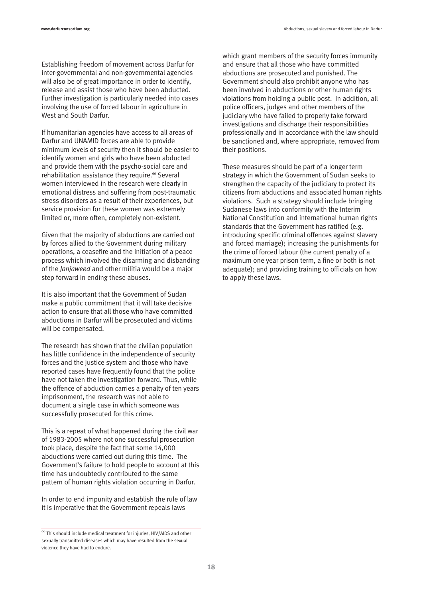**www.darfurconsortium.org** Abductions, sexual slavery and forced labour in Darfur

Establishing freedom of movement across Darfur for inter-governmental and non-governmental agencies will also be of great importance in order to identify, release and assist those who have been abducted. Further investigation is particularly needed into cases involving the use of forced labour in agriculture in West and South Darfur.

If humanitarian agencies have access to all areas of Darfur and UNAMID forces are able to provide minimum levels of security then it should be easier to identify women and girls who have been abducted and provide them with the psycho-social care and rehabilitation assistance they require.<sup>66</sup> Several women interviewed in the research were clearly in emotional distress and suffering from post-traumatic stress disorders as a result of their experiences, but service provision for these women was extremely limited or, more often, completely non-existent.

Given that the majority of abductions are carried out by forces allied to the Government during military operations, a ceasefire and the initiation of a peace process which involved the disarming and disbanding of the *Janjaweed* and other militia would be a major step forward in ending these abuses.

It is also important that the Government of Sudan make a public commitment that it will take decisive action to ensure that all those who have committed abductions in Darfur will be prosecuted and victims will be compensated.

The research has shown that the civilian population has little confidence in the independence of security forces and the justice system and those who have reported cases have frequently found that the police have not taken the investigation forward. Thus, while the offence of abduction carries a penalty of ten years imprisonment, the research was not able to document a single case in which someone was successfully prosecuted for this crime.

This is a repeat of what happened during the civil war of 1983-2005 where not one successful prosecution took place, despite the fact that some 14,000 abductions were carried out during this time. The Government's failure to hold people to account at this time has undoubtedly contributed to the same pattern of human rights violation occurring in Darfur.

In order to end impunity and establish the rule of law it is imperative that the Government repeals laws

which grant members of the security forces immunity and ensure that all those who have committed abductions are prosecuted and punished. The Government should also prohibit anyone who has been involved in abductions or other human rights violations from holding a public post. In addition, all police officers, judges and other members of the judiciary who have failed to properly take forward investigations and discharge their responsibilities professionally and in accordance with the law should be sanctioned and, where appropriate, removed from their positions.

These measures should be part of a longer term strategy in which the Government of Sudan seeks to strengthen the capacity of the judiciary to protect its citizens from abductions and associated human rights violations. Such a strategy should include bringing Sudanese laws into conformity with the Interim National Constitution and international human rights standards that the Government has ratified (e.g. introducing specific criminal offences against slavery and forced marriage); increasing the punishments for the crime of forced labour (the current penalty of a maximum one year prison term, a fine or both is not adequate); and providing training to officials on how to apply these laws.

 $\frac{66}{66}$  This should include medical treatment for injuries, HIV/AIDS and other sexually transmitted diseases which may have resulted from the sexual violence they have had to endure.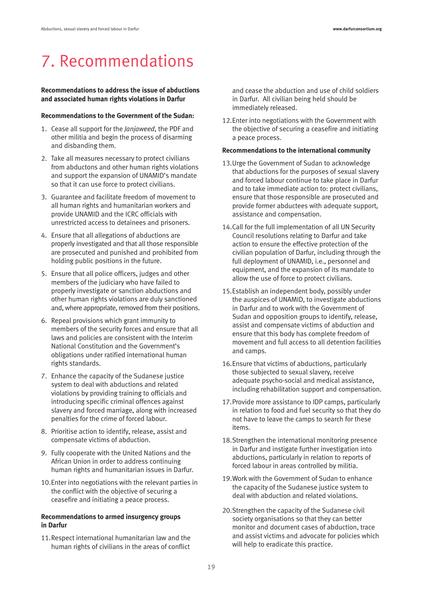# 7. Recommendations

#### **Recommendations to address the issue of abductions and associated human rights violations in Darfur**

#### **Recommendations to the Government of the Sudan:**

- 1. Cease all support for the *Janjaweed*, the PDF and other militia and begin the process of disarming and disbanding them.
- 2. Take all measures necessary to protect civilians from abductons and other human rights violations and support the expansion of UNAMID's mandate so that it can use force to protect civilians.
- 3. Guarantee and facilitate freedom of movement to all human rights and humanitarian workers and provide UNAMID and the ICRC officials with unrestricted access to detainees and prisoners.
- 4. Ensure that all allegations of abductions are properly investigated and that all those responsible are prosecuted and punished and prohibited from holding public positions in the future.
- 5. Ensure that all police officers, judges and other members of the judiciary who have failed to properly investigate or sanction abductions and other human rights violations are duly sanctioned and, where appropriate, removed from their positions.
- 6. Repeal provisions which grant immunity to members of the security forces and ensure that all laws and policies are consistent with the Interim National Constitution and the Government's obligations under ratified international human rights standards.
- 7. Enhance the capacity of the Sudanese justice system to deal with abductions and related violations by providing training to officials and introducing specific criminal offences against slavery and forced marriage, along with increased penalties for the crime of forced labour.
- 8. Prioritise action to identify, release, assist and compensate victims of abduction.
- 9. Fully cooperate with the United Nations and the African Union in order to address continuing human rights and humanitarian issues in Darfur.
- 10.Enter into negotiations with the relevant parties in the conflict with the objective of securing a ceasefire and initiating a peace process.

#### **Recommendations to armed insurgency groups in Darfur**

11.Respect international humanitarian law and the human rights of civilians in the areas of conflict

and cease the abduction and use of child soldiers in Darfur. All civilian being held should be immediately released.

12.Enter into negotiations with the Government with the objective of securing a ceasefire and initiating a peace process.

### **Recommendations to the international community**

- 13.Urge the Government of Sudan to acknowledge that abductions for the purposes of sexual slavery and forced labour continue to take place in Darfur and to take immediate action to: protect civilians, ensure that those responsible are prosecuted and provide former abductees with adequate support, assistance and compensation.
- 14.Call for the full implementation of all UN Security Council resolutions relating to Darfur and take action to ensure the effective protection of the civilian population of Darfur, including through the full deployment of UNAMID, i.e., personnel and equipment, and the expansion of its mandate to allow the use of force to protect civilians.
- 15.Establish an independent body, possibly under the auspices of UNAMID, to investigate abductions in Darfur and to work with the Government of Sudan and opposition groups to identify, release, assist and compensate victims of abduction and ensure that this body has complete freedom of movement and full access to all detention facilities and camps.
- 16.Ensure that victims of abductions, particularly those subjected to sexual slavery, receive adequate psycho-social and medical assistance, including rehabilitation support and compensation.
- 17.Provide more assistance to IDP camps, particularly in relation to food and fuel security so that they do not have to leave the camps to search for these items.
- 18.Strengthen the international monitoring presence in Darfur and instigate further investigation into abductions, particularly in relation to reports of forced labour in areas controlled by militia.
- 19.Work with the Government of Sudan to enhance the capacity of the Sudanese justice system to deal with abduction and related violations.
- 20.Strengthen the capacity of the Sudanese civil society organisations so that they can better monitor and document cases of abduction, trace and assist victims and advocate for policies which will help to eradicate this practice.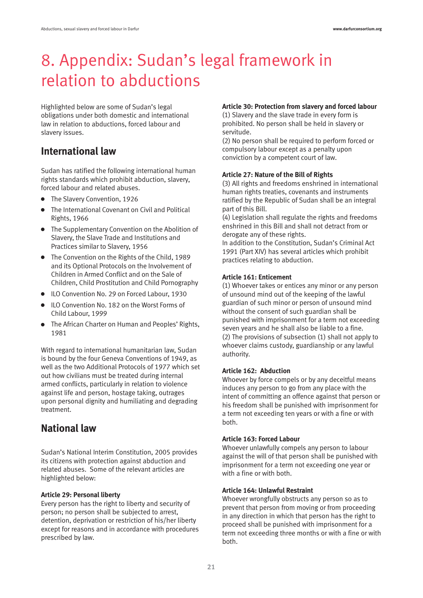# 8. Appendix: Sudan's legal framework in relation to abductions

Highlighted below are some of Sudan's legal obligations under both domestic and international law in relation to abductions, forced labour and slavery issues.

### **International law**

Sudan has ratified the following international human rights standards which prohibit abduction, slavery, forced labour and related abuses.

- The Slavery Convention, 1926
- $\bullet$  The International Covenant on Civil and Political Rights, 1966
- **•** The Supplementary Convention on the Abolition of Slavery, the Slave Trade and Institutions and Practices similar to Slavery, 1956
- The Convention on the Rights of the Child, 1989 and its Optional Protocols on the Involvement of Children in Armed Conflict and on the Sale of Children, Child Prostitution and Child Pornography
- ILO Convention No. 29 on Forced Labour, 1930
- ILO Convention No. 182 on the Worst Forms of Child Labour, 1999
- **•** The African Charter on Human and Peoples' Rights, 1981

With regard to international humanitarian law, Sudan is bound by the four Geneva Conventions of 1949, as well as the two Additional Protocols of 1977 which set out how civilians must be treated during internal armed conflicts, particularly in relation to violence against life and person, hostage taking, outrages upon personal dignity and humiliating and degrading treatment.

### **National law**

Sudan's National Interim Constitution, 2005 provides its citizens with protection against abduction and related abuses. Some of the relevant articles are highlighted below:

### **Article 29: Personal liberty**

Every person has the right to liberty and security of person; no person shall be subjected to arrest, detention, deprivation or restriction of his/her liberty except for reasons and in accordance with procedures prescribed by law.

#### **Article 30: Protection from slavery and forced labour**

(1) Slavery and the slave trade in every form is prohibited. No person shall be held in slavery or servitude.

(2) No person shall be required to perform forced or compulsory labour except as a penalty upon conviction by a competent court of law.

### **Article 27: Nature of the Bill of Rights**

(3) All rights and freedoms enshrined in international human rights treaties, covenants and instruments ratified by the Republic of Sudan shall be an integral part of this Bill.

(4) Legislation shall regulate the rights and freedoms enshrined in this Bill and shall not detract from or derogate any of these rights.

In addition to the Constitution, Sudan's Criminal Act 1991 (Part XIV) has several articles which prohibit practices relating to abduction.

#### **Article 161: Enticement**

(1) Whoever takes or entices any minor or any person of unsound mind out of the keeping of the lawful guardian of such minor or person of unsound mind without the consent of such guardian shall be punished with imprisonment for a term not exceeding seven years and he shall also be liable to a fine. (2) The provisions of subsection (1) shall not apply to whoever claims custody, guardianship or any lawful authority.

### **Article 162: Abduction**

Whoever by force compels or by any deceitful means induces any person to go from any place with the intent of committing an offence against that person or his freedom shall be punished with imprisonment for a term not exceeding ten years or with a fine or with both.

### **Article 163: Forced Labour**

Whoever unlawfully compels any person to labour against the will of that person shall be punished with imprisonment for a term not exceeding one year or with a fine or with both.

### **Article 164: Unlawful Restraint**

Whoever wrongfully obstructs any person so as to prevent that person from moving or from proceeding in any direction in which that person has the right to proceed shall be punished with imprisonment for a term not exceeding three months or with a fine or with both.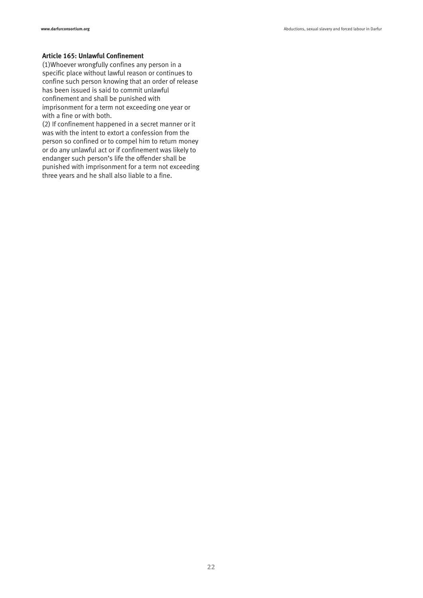#### **Article 165: Unlawful Confinement**

(1)Whoever wrongfully confines any person in a specific place without lawful reason or continues to confine such person knowing that an order of release has been issued is said to commit unlawful confinement and shall be punished with imprisonment for a term not exceeding one year or with a fine or with both.

(2) If confinement happened in a secret manner or it was with the intent to extort a confession from the person so confined or to compel him to return money or do any unlawful act or if confinement was likely to endanger such person's life the offender shall be punished with imprisonment for a term not exceeding three years and he shall also liable to a fine.